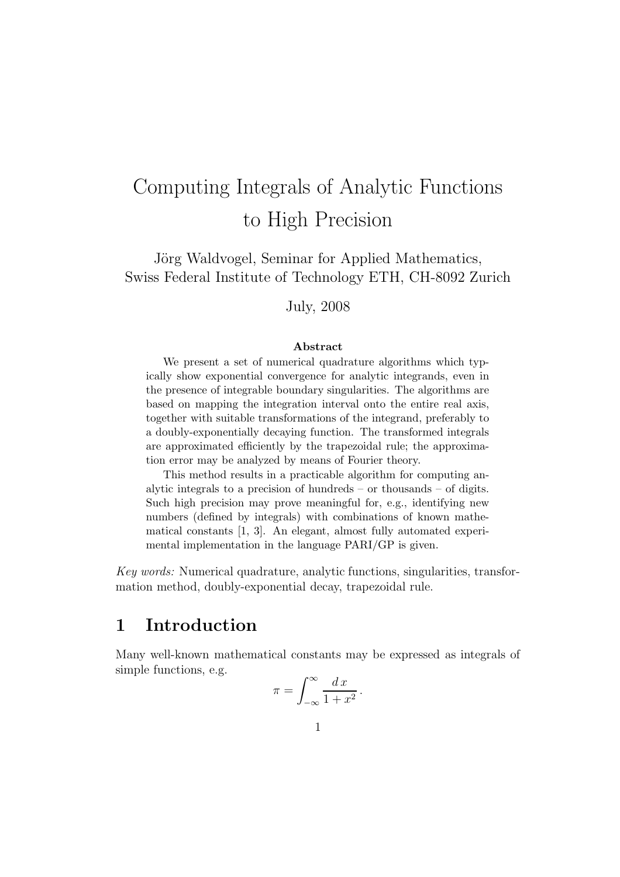# Computing Integrals of Analytic Functions to High Precision

Jörg Waldvogel, Seminar for Applied Mathematics, Swiss Federal Institute of Technology ETH, CH-8092 Zurich

July, 2008

#### Abstract

We present a set of numerical quadrature algorithms which typically show exponential convergence for analytic integrands, even in the presence of integrable boundary singularities. The algorithms are based on mapping the integration interval onto the entire real axis, together with suitable transformations of the integrand, preferably to a doubly-exponentially decaying function. The transformed integrals are approximated efficiently by the trapezoidal rule; the approximation error may be analyzed by means of Fourier theory.

This method results in a practicable algorithm for computing analytic integrals to a precision of hundreds – or thousands – of digits. Such high precision may prove meaningful for, e.g., identifying new numbers (defined by integrals) with combinations of known mathematical constants [1, 3]. An elegant, almost fully automated experimental implementation in the language PARI/GP is given.

Key words: Numerical quadrature, analytic functions, singularities, transformation method, doubly-exponential decay, trapezoidal rule.

### 1 Introduction

Many well-known mathematical constants may be expressed as integrals of simple functions, e.g.

$$
\pi = \int_{-\infty}^{\infty} \frac{dx}{1 + x^2}
$$

.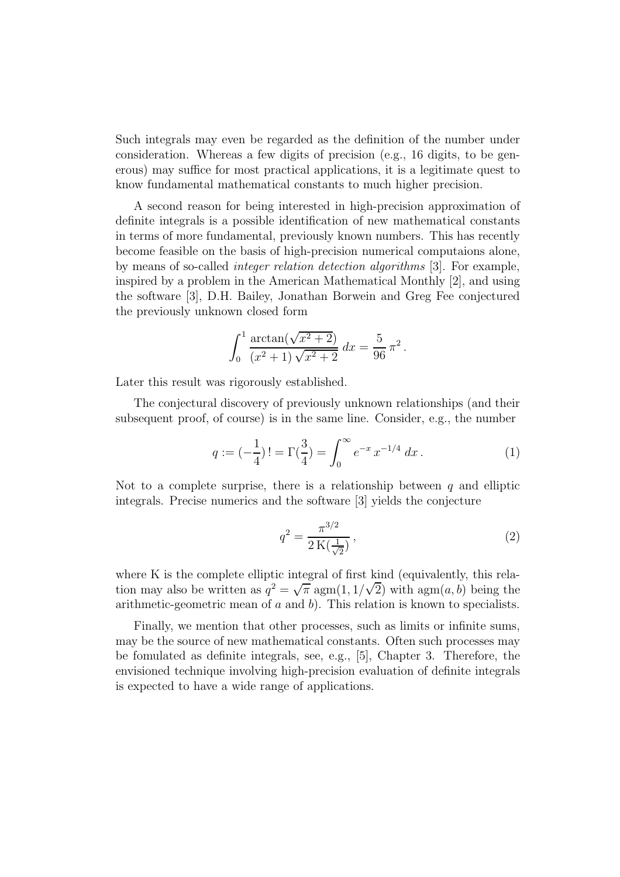Such integrals may even be regarded as the definition of the number under consideration. Whereas a few digits of precision (e.g., 16 digits, to be generous) may suffice for most practical applications, it is a legitimate quest to know fundamental mathematical constants to much higher precision.

A second reason for being interested in high-precision approximation of definite integrals is a possible identification of new mathematical constants in terms of more fundamental, previously known numbers. This has recently become feasible on the basis of high-precision numerical computaions alone, by means of so-called integer relation detection algorithms [3]. For example, inspired by a problem in the American Mathematical Monthly [2], and using the software [3], D.H. Bailey, Jonathan Borwein and Greg Fee conjectured the previously unknown closed form

$$
\int_0^1 \frac{\arctan(\sqrt{x^2+2})}{(x^2+1)\sqrt{x^2+2}} dx = \frac{5}{96} \pi^2.
$$

Later this result was rigorously established.

The conjectural discovery of previously unknown relationships (and their subsequent proof, of course) is in the same line. Consider, e.g., the number

$$
q := \left(-\frac{1}{4}\right)! = \Gamma\left(\frac{3}{4}\right) = \int_0^\infty e^{-x} x^{-1/4} dx.
$$
 (1)

Not to a complete surprise, there is a relationship between  $q$  and elliptic integrals. Precise numerics and the software [3] yields the conjecture

$$
q^2 = \frac{\pi^{3/2}}{2\,\mathrm{K}\left(\frac{1}{\sqrt{2}}\right)}\,,\tag{2}
$$

where K is the complete elliptic integral of first kind (equivalently, this relation may also be written as  $q^2 = \sqrt{\pi} \operatorname{agm}(1, 1/\sqrt{2})$  with  $\operatorname{agm}(a, b)$  being the arithmetic-geometric mean of  $a$  and  $b$ ). This relation is known to specialists.

Finally, we mention that other processes, such as limits or infinite sums, may be the source of new mathematical constants. Often such processes may be fomulated as definite integrals, see, e.g., [5], Chapter 3. Therefore, the envisioned technique involving high-precision evaluation of definite integrals is expected to have a wide range of applications.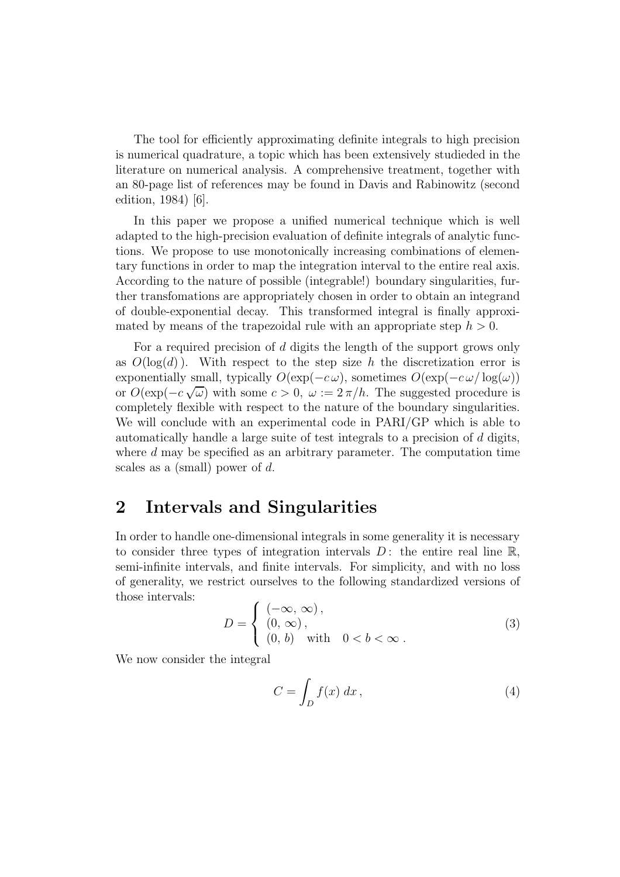The tool for efficiently approximating definite integrals to high precision is numerical quadrature, a topic which has been extensively studieded in the literature on numerical analysis. A comprehensive treatment, together with an 80-page list of references may be found in Davis and Rabinowitz (second edition, 1984) [6].

In this paper we propose a unified numerical technique which is well adapted to the high-precision evaluation of definite integrals of analytic functions. We propose to use monotonically increasing combinations of elementary functions in order to map the integration interval to the entire real axis. According to the nature of possible (integrable!) boundary singularities, further transfomations are appropriately chosen in order to obtain an integrand of double-exponential decay. This transformed integral is finally approximated by means of the trapezoidal rule with an appropriate step  $h > 0$ .

For a required precision of d digits the length of the support grows only as  $O(\log(d))$ . With respect to the step size h the discretization error is exponentially small, typically  $O(\exp(-c\omega))$ , sometimes  $O(\exp(-c\omega/\log(\omega)))$ or  $O(\exp(-c \sqrt{\omega})$  with some  $c > 0$ ,  $\omega := 2\pi/h$ . The suggested procedure is completely flexible with respect to the nature of the boundary singularities. We will conclude with an experimental code in PARI/GP which is able to automatically handle a large suite of test integrals to a precision of d digits, where d may be specified as an arbitrary parameter. The computation time scales as a (small) power of d.

#### 2 Intervals and Singularities

In order to handle one-dimensional integrals in some generality it is necessary to consider three types of integration intervals  $D$ : the entire real line  $\mathbb{R}$ , semi-infinite intervals, and finite intervals. For simplicity, and with no loss of generality, we restrict ourselves to the following standardized versions of those intervals:

$$
D = \begin{cases} (-\infty, \infty), \\ (0, \infty), \\ (0, b) \quad \text{with} \quad 0 < b < \infty. \end{cases}
$$
 (3)

We now consider the integral

$$
C = \int_{D} f(x) \, dx \,, \tag{4}
$$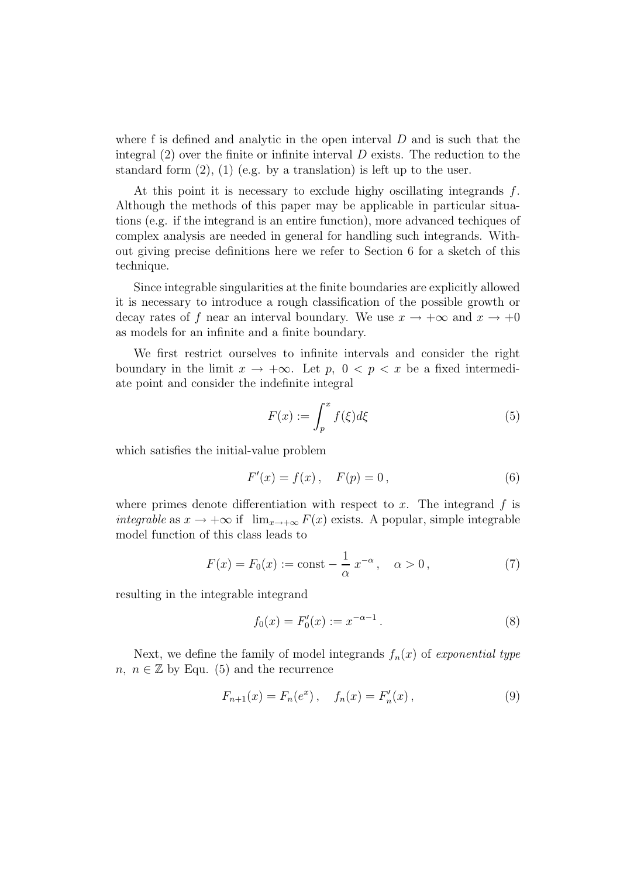where f is defined and analytic in the open interval  $D$  and is such that the integral  $(2)$  over the finite or infinite interval D exists. The reduction to the standard form  $(2)$ ,  $(1)$  (e.g. by a translation) is left up to the user.

At this point it is necessary to exclude highy oscillating integrands f. Although the methods of this paper may be applicable in particular situations (e.g. if the integrand is an entire function), more advanced techiques of complex analysis are needed in general for handling such integrands. Without giving precise definitions here we refer to Section 6 for a sketch of this technique.

Since integrable singularities at the finite boundaries are explicitly allowed it is necessary to introduce a rough classification of the possible growth or decay rates of f near an interval boundary. We use  $x \to +\infty$  and  $x \to +0$ as models for an infinite and a finite boundary.

We first restrict ourselves to infinite intervals and consider the right boundary in the limit  $x \to +\infty$ . Let  $p, 0 < p < x$  be a fixed intermediate point and consider the indefinite integral

$$
F(x) := \int_{p}^{x} f(\xi) d\xi
$$
 (5)

which satisfies the initial-value problem

$$
F'(x) = f(x), \quad F(p) = 0,
$$
\n(6)

where primes denote differentiation with respect to x. The integrand  $f$  is integrable as  $x \to +\infty$  if  $\lim_{x \to +\infty} F(x)$  exists. A popular, simple integrable model function of this class leads to

$$
F(x) = F_0(x) := \text{const} - \frac{1}{\alpha} x^{-\alpha}, \quad \alpha > 0,
$$
 (7)

resulting in the integrable integrand

$$
f_0(x) = F'_0(x) := x^{-\alpha - 1}.
$$
 (8)

Next, we define the family of model integrands  $f_n(x)$  of exponential type n,  $n \in \mathbb{Z}$  by Equ. (5) and the recurrence

$$
F_{n+1}(x) = F_n(e^x), \quad f_n(x) = F'_n(x), \tag{9}
$$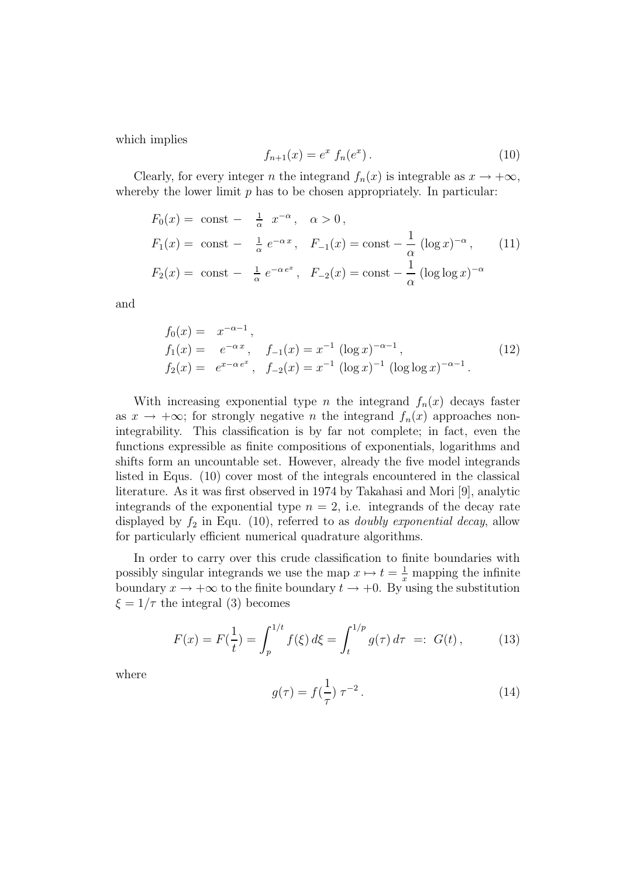which implies

$$
f_{n+1}(x) = e^x f_n(e^x).
$$
 (10)

Clearly, for every integer n the integrand  $f_n(x)$  is integrable as  $x \to +\infty$ , whereby the lower limit  $p$  has to be chosen appropriately. In particular:

$$
F_0(x) = \text{const} - \frac{1}{\alpha} x^{-\alpha}, \quad \alpha > 0,
$$
  
\n
$$
F_1(x) = \text{const} - \frac{1}{\alpha} e^{-\alpha x}, \quad F_{-1}(x) = \text{const} - \frac{1}{\alpha} (\log x)^{-\alpha}, \quad (11)
$$
  
\n
$$
F_2(x) = \text{const} - \frac{1}{\alpha} e^{-\alpha e^x}, \quad F_{-2}(x) = \text{const} - \frac{1}{\alpha} (\log \log x)^{-\alpha}
$$

and

$$
f_0(x) = x^{-\alpha - 1},
$$
  
\n
$$
f_1(x) = e^{-\alpha x}, \quad f_{-1}(x) = x^{-1} (\log x)^{-\alpha - 1},
$$
  
\n
$$
f_2(x) = e^{x - \alpha e^x}, \quad f_{-2}(x) = x^{-1} (\log x)^{-1} (\log \log x)^{-\alpha - 1}.
$$
\n(12)

With increasing exponential type *n* the integrand  $f_n(x)$  decays faster as  $x \to +\infty$ ; for strongly negative *n* the integrand  $f_n(x)$  approaches nonintegrability. This classification is by far not complete; in fact, even the functions expressible as finite compositions of exponentials, logarithms and shifts form an uncountable set. However, already the five model integrands listed in Equs. (10) cover most of the integrals encountered in the classical literature. As it was first observed in 1974 by Takahasi and Mori [9], analytic integrands of the exponential type  $n = 2$ , i.e. integrands of the decay rate displayed by  $f_2$  in Equ. (10), referred to as *doubly exponential decay*, allow for particularly efficient numerical quadrature algorithms.

In order to carry over this crude classification to finite boundaries with possibly singular integrands we use the map  $x \mapsto t = \frac{1}{x}$  mapping the infinite boundary  $x \to +\infty$  to the finite boundary  $t \to +0$ . By using the substitution  $\xi = 1/\tau$  the integral (3) becomes

$$
F(x) = F(\frac{1}{t}) = \int_{p}^{1/t} f(\xi) d\xi = \int_{t}^{1/p} g(\tau) d\tau =: G(t), \quad (13)
$$

where

$$
g(\tau) = f(\frac{1}{\tau}) \,\tau^{-2} \,. \tag{14}
$$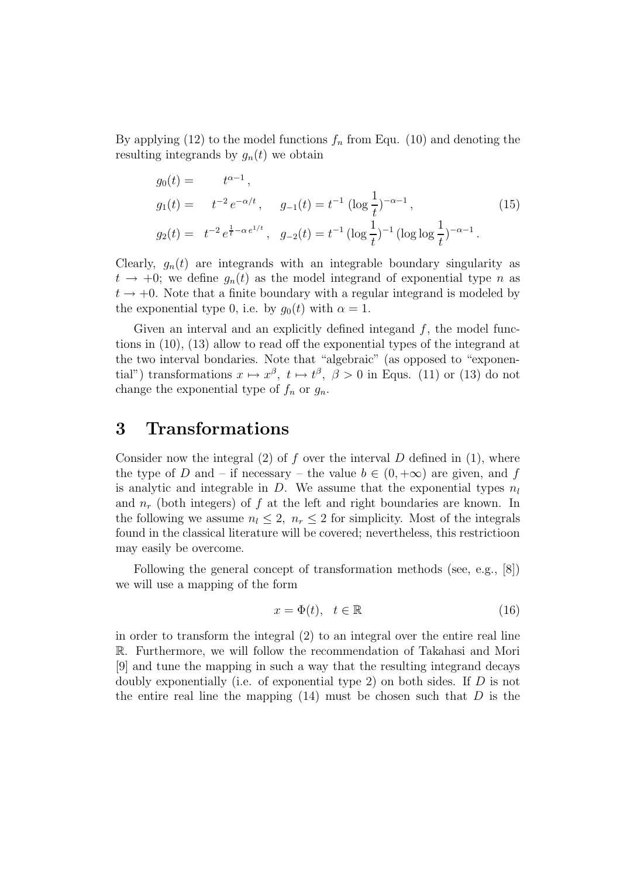By applying (12) to the model functions  $f_n$  from Equ. (10) and denoting the resulting integrands by  $g_n(t)$  we obtain

$$
g_0(t) = t^{\alpha - 1},
$$
  
\n
$$
g_1(t) = t^{-2} e^{-\alpha/t}, \quad g_{-1}(t) = t^{-1} (\log \frac{1}{t})^{-\alpha - 1},
$$
  
\n
$$
g_2(t) = t^{-2} e^{\frac{1}{t} - \alpha e^{1/t}}, \quad g_{-2}(t) = t^{-1} (\log \frac{1}{t})^{-1} (\log \log \frac{1}{t})^{-\alpha - 1}.
$$
\n(15)

Clearly,  $g_n(t)$  are integrands with an integrable boundary singularity as  $t \rightarrow +0$ ; we define  $g_n(t)$  as the model integrand of exponential type n as  $t \rightarrow +0$ . Note that a finite boundary with a regular integrand is modeled by the exponential type 0, i.e. by  $q_0(t)$  with  $\alpha = 1$ .

Given an interval and an explicitly defined integand  $f$ , the model functions in (10), (13) allow to read off the exponential types of the integrand at the two interval bondaries. Note that "algebraic" (as opposed to "exponential") transformations  $x \mapsto x^{\beta}$ ,  $t \mapsto t^{\beta}$ ,  $\beta > 0$  in Equs. (11) or (13) do not change the exponential type of  $f_n$  or  $g_n$ .

#### 3 Transformations

Consider now the integral  $(2)$  of f over the interval D defined in  $(1)$ , where the type of D and – if necessary – the value  $b \in (0, +\infty)$  are given, and f is analytic and integrable in D. We assume that the exponential types  $n_l$ and  $n_r$  (both integers) of f at the left and right boundaries are known. In the following we assume  $n_l \leq 2$ ,  $n_r \leq 2$  for simplicity. Most of the integrals found in the classical literature will be covered; nevertheless, this restrictioon may easily be overcome.

Following the general concept of transformation methods (see, e.g., [8]) we will use a mapping of the form

$$
x = \Phi(t), \quad t \in \mathbb{R} \tag{16}
$$

in order to transform the integral (2) to an integral over the entire real line R. Furthermore, we will follow the recommendation of Takahasi and Mori [9] and tune the mapping in such a way that the resulting integrand decays doubly exponentially (i.e. of exponential type 2) on both sides. If  $D$  is not the entire real line the mapping  $(14)$  must be chosen such that D is the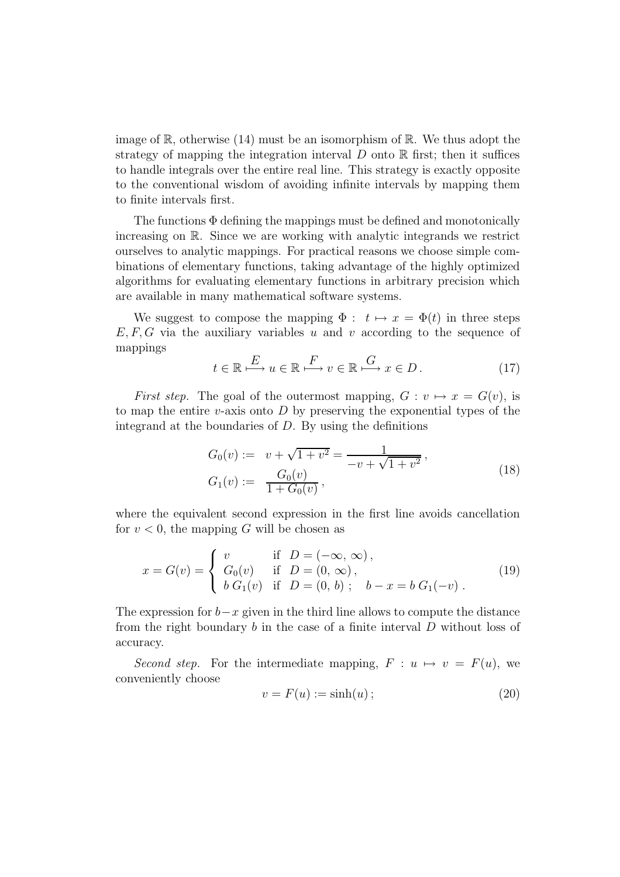image of  $\mathbb{R}$ , otherwise (14) must be an isomorphism of  $\mathbb{R}$ . We thus adopt the strategy of mapping the integration interval  $D$  onto  $\mathbb R$  first; then it suffices to handle integrals over the entire real line. This strategy is exactly opposite to the conventional wisdom of avoiding infinite intervals by mapping them to finite intervals first.

The functions  $\Phi$  defining the mappings must be defined and monotonically increasing on R. Since we are working with analytic integrands we restrict ourselves to analytic mappings. For practical reasons we choose simple combinations of elementary functions, taking advantage of the highly optimized algorithms for evaluating elementary functions in arbitrary precision which are available in many mathematical software systems.

We suggest to compose the mapping  $\Phi : t \mapsto x = \Phi(t)$  in three steps  $E, F, G$  via the auxiliary variables u and v according to the sequence of mappings

$$
t \in \mathbb{R} \xrightarrow{E} u \in \mathbb{R} \xrightarrow{F} v \in \mathbb{R} \xrightarrow{G} x \in D.
$$
 (17)

First step. The goal of the outermost mapping,  $G: v \mapsto x = G(v)$ , is to map the entire v-axis onto  $D$  by preserving the exponential types of the integrand at the boundaries of  $D$ . By using the definitions

$$
G_0(v) := v + \sqrt{1 + v^2} = \frac{1}{-v + \sqrt{1 + v^2}},
$$
  
\n
$$
G_1(v) := \frac{G_0(v)}{1 + G_0(v)},
$$
\n(18)

where the equivalent second expression in the first line avoids cancellation for  $v < 0$ , the mapping G will be chosen as

$$
x = G(v) = \begin{cases} v & \text{if } D = (-\infty, \infty), \\ G_0(v) & \text{if } D = (0, \infty), \\ b G_1(v) & \text{if } D = (0, b); \quad b - x = b G_1(-v). \end{cases}
$$
(19)

The expression for  $b-x$  given in the third line allows to compute the distance from the right boundary b in the case of a finite interval D without loss of accuracy.

Second step. For the intermediate mapping,  $F : u \mapsto v = F(u)$ , we conveniently choose

$$
v = F(u) := \sinh(u) \tag{20}
$$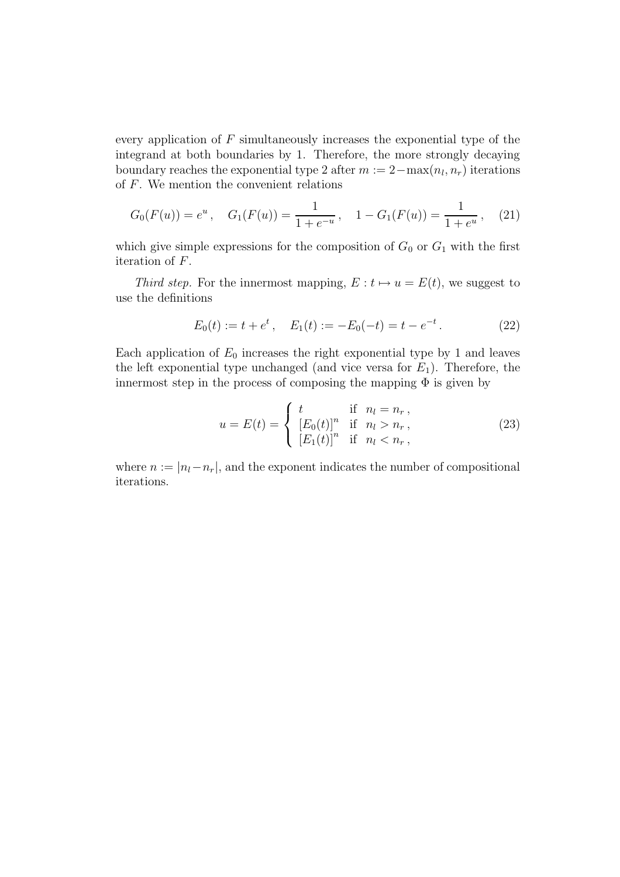every application of  $F$  simultaneously increases the exponential type of the integrand at both boundaries by 1. Therefore, the more strongly decaying boundary reaches the exponential type 2 after  $m := 2 - \max(n_l, n_r)$  iterations of F. We mention the convenient relations

$$
G_0(F(u)) = e^u, \quad G_1(F(u)) = \frac{1}{1 + e^{-u}}, \quad 1 - G_1(F(u)) = \frac{1}{1 + e^u}, \quad (21)
$$

which give simple expressions for the composition of  $G_0$  or  $G_1$  with the first iteration of F.

Third step. For the innermost mapping,  $E: t \mapsto u = E(t)$ , we suggest to use the definitions

$$
E_0(t) := t + e^t, \quad E_1(t) := -E_0(-t) = t - e^{-t}.
$$
 (22)

Each application of  $E_0$  increases the right exponential type by 1 and leaves the left exponential type unchanged (and vice versa for  $E_1$ ). Therefore, the innermost step in the process of composing the mapping  $\Phi$  is given by

$$
u = E(t) = \begin{cases} t & \text{if } n_l = n_r, \\ \left[E_0(t)\right]^n & \text{if } n_l > n_r, \\ \left[E_1(t)\right]^n & \text{if } n_l < n_r, \end{cases}
$$
 (23)

where  $n := |n_l - n_r|$ , and the exponent indicates the number of compositional iterations.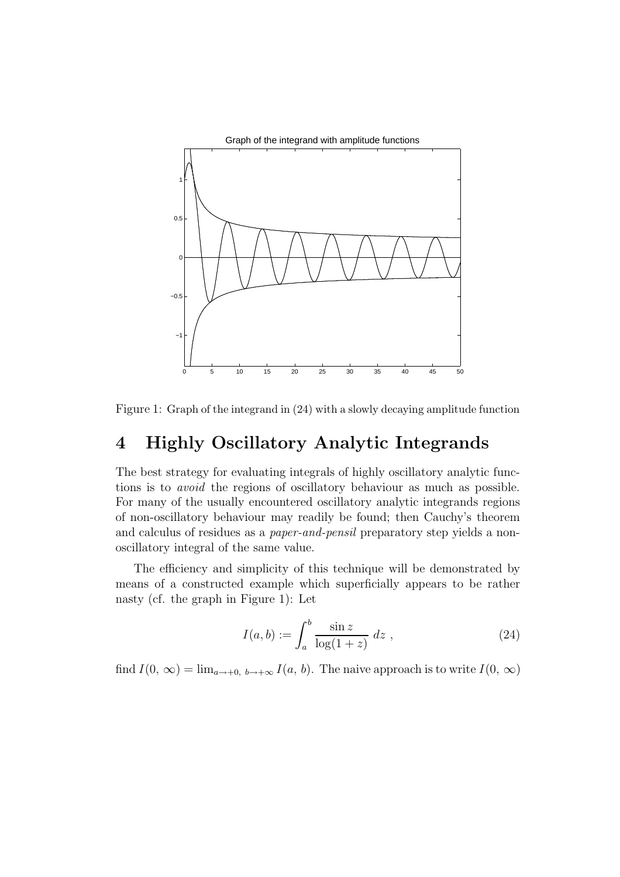

Figure 1: Graph of the integrand in (24) with a slowly decaying amplitude function

#### 4 Highly Oscillatory Analytic Integrands

The best strategy for evaluating integrals of highly oscillatory analytic functions is to avoid the regions of oscillatory behaviour as much as possible. For many of the usually encountered oscillatory analytic integrands regions of non-oscillatory behaviour may readily be found; then Cauchy's theorem and calculus of residues as a paper-and-pensil preparatory step yields a nonoscillatory integral of the same value.

The efficiency and simplicity of this technique will be demonstrated by means of a constructed example which superficially appears to be rather nasty (cf. the graph in Figure 1): Let

$$
I(a,b) := \int_{a}^{b} \frac{\sin z}{\log(1+z)} \ dz \ , \tag{24}
$$

find  $I(0, \infty) = \lim_{a \to +0, b \to +\infty} I(a, b)$ . The naive approach is to write  $I(0, \infty)$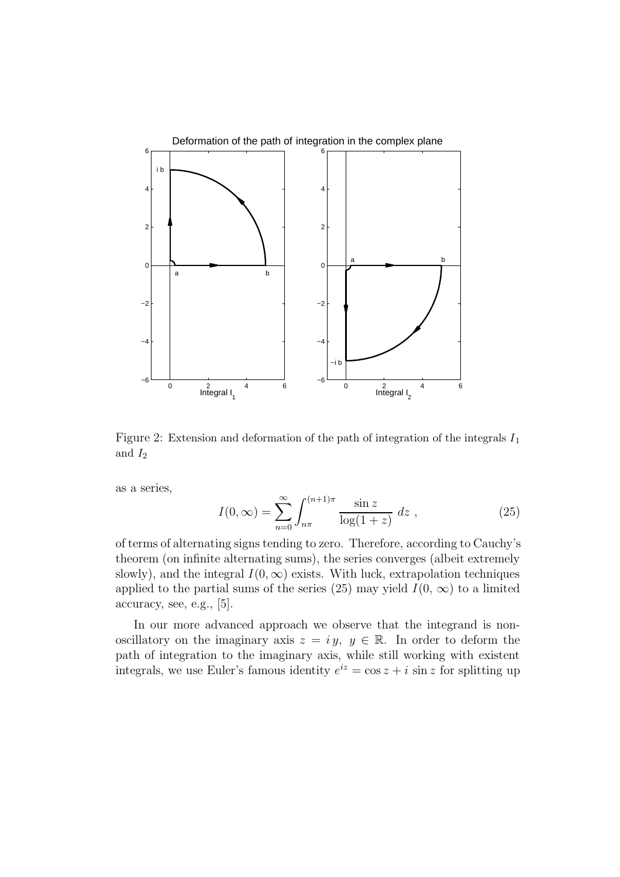

Figure 2: Extension and deformation of the path of integration of the integrals  $I_1$ and  $I_2$ 

as a series,

$$
I(0,\infty) = \sum_{n=0}^{\infty} \int_{n\pi}^{(n+1)\pi} \frac{\sin z}{\log(1+z)} \, dz \;, \tag{25}
$$

of terms of alternating signs tending to zero. Therefore, according to Cauchy's theorem (on infinite alternating sums), the series converges (albeit extremely slowly), and the integral  $I(0, \infty)$  exists. With luck, extrapolation techniques applied to the partial sums of the series (25) may yield  $I(0, \infty)$  to a limited accuracy, see, e.g., [5].

In our more advanced approach we observe that the integrand is nonoscillatory on the imaginary axis  $z = iy, y \in \mathbb{R}$ . In order to deform the path of integration to the imaginary axis, while still working with existent integrals, we use Euler's famous identity  $e^{iz} = \cos z + i \sin z$  for splitting up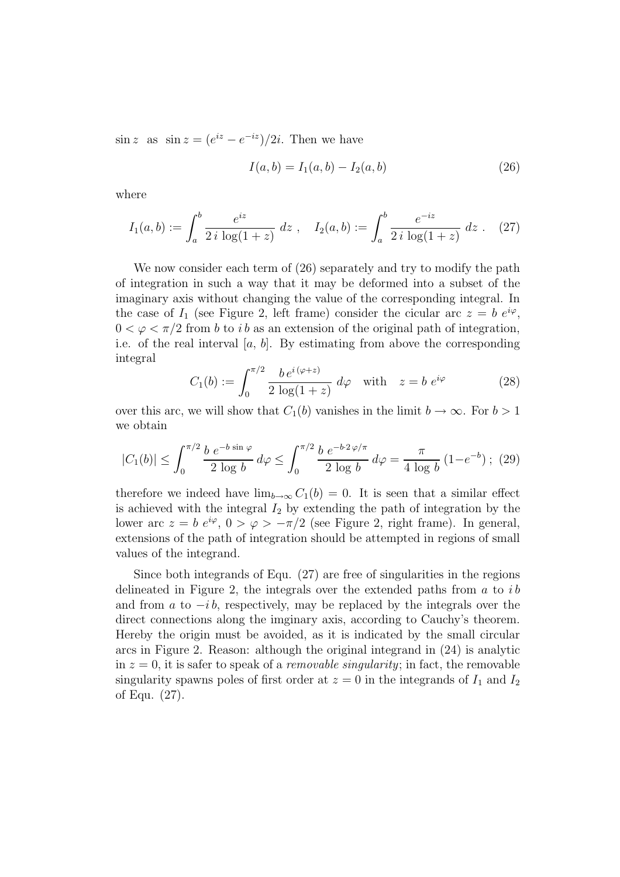$\sin z$  as  $\sin z = (e^{iz} - e^{-iz})/2i$ . Then we have

$$
I(a,b) = I_1(a,b) - I_2(a,b)
$$
\n(26)

where

$$
I_1(a,b) := \int_a^b \frac{e^{iz}}{2i \log(1+z)} dz , \quad I_2(a,b) := \int_a^b \frac{e^{-iz}}{2i \log(1+z)} dz . \quad (27)
$$

We now consider each term of  $(26)$  separately and try to modify the path of integration in such a way that it may be deformed into a subset of the imaginary axis without changing the value of the corresponding integral. In the case of  $I_1$  (see Figure 2, left frame) consider the cicular arc  $z = b e^{i\varphi}$ ,  $0 < \varphi < \pi/2$  from b to i b as an extension of the original path of integration, i.e. of the real interval  $[a, b]$ . By estimating from above the corresponding integral

$$
C_1(b) := \int_0^{\pi/2} \frac{b e^{i(\varphi + z)}}{2 \log(1 + z)} d\varphi \quad \text{with} \quad z = b e^{i\varphi} \tag{28}
$$

over this arc, we will show that  $C_1(b)$  vanishes in the limit  $b \to \infty$ . For  $b > 1$ we obtain

$$
|C_1(b)| \le \int_0^{\pi/2} \frac{b \ e^{-b \sin \varphi}}{2 \log b} \, d\varphi \le \int_0^{\pi/2} \frac{b \ e^{-b \cdot 2\varphi/\pi}}{2 \log b} \, d\varphi = \frac{\pi}{4 \log b} \left(1 - e^{-b}\right); \tag{29}
$$

therefore we indeed have  $\lim_{b\to\infty} C_1(b) = 0$ . It is seen that a similar effect is achieved with the integral  $I_2$  by extending the path of integration by the lower arc  $z = b e^{i\varphi}$ ,  $0 > \varphi > -\pi/2$  (see Figure 2, right frame). In general, extensions of the path of integration should be attempted in regions of small values of the integrand.

Since both integrands of Equ. (27) are free of singularities in the regions delineated in Figure 2, the integrals over the extended paths from  $a$  to  $i\,b$ and from a to  $-i\,b$ , respectively, may be replaced by the integrals over the direct connections along the imginary axis, according to Cauchy's theorem. Hereby the origin must be avoided, as it is indicated by the small circular arcs in Figure 2. Reason: although the original integrand in (24) is analytic in  $z = 0$ , it is safer to speak of a *removable singularity*; in fact, the removable singularity spawns poles of first order at  $z = 0$  in the integrands of  $I_1$  and  $I_2$ of Equ. (27).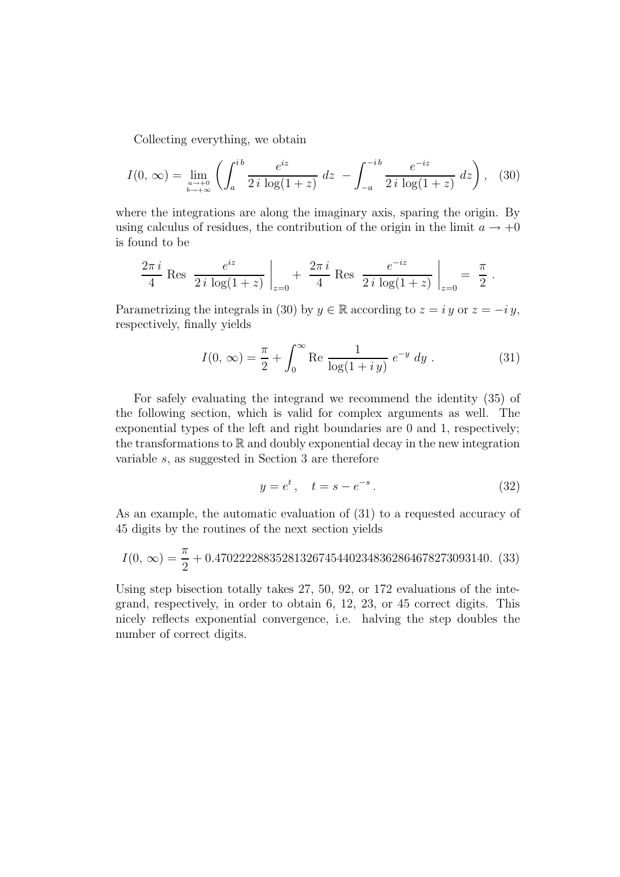Collecting everything, we obtain

$$
I(0, \infty) = \lim_{\substack{a \to +0 \\ b \to +\infty}} \left( \int_{a}^{ib} \frac{e^{iz}}{2i \log(1+z)} \, dz \, - \int_{-a}^{-ib} \frac{e^{-iz}}{2i \log(1+z)} \, dz \right), \tag{30}
$$

where the integrations are along the imaginary axis, sparing the origin. By using calculus of residues, the contribution of the origin in the limit  $a \to +0$ is found to be

$$
\frac{2\pi i}{4} \text{ Res } \frac{e^{iz}}{2i \log(1+z)} \bigg|_{z=0} + \frac{2\pi i}{4} \text{ Res } \frac{e^{-iz}}{2i \log(1+z)} \bigg|_{z=0} = \frac{\pi}{2} .
$$

Parametrizing the integrals in (30) by  $y \in \mathbb{R}$  according to  $z = iy$  or  $z = -iy$ , respectively, finally yields

$$
I(0, \infty) = \frac{\pi}{2} + \int_0^\infty \text{Re} \frac{1}{\log(1 + iy)} e^{-y} dy.
$$
 (31)

For safely evaluating the integrand we recommend the identity (35) of the following section, which is valid for complex arguments as well. The exponential types of the left and right boundaries are 0 and 1, respectively; the transformations to  $\mathbb R$  and doubly exponential decay in the new integration variable s, as suggested in Section 3 are therefore

$$
y = e^t, \quad t = s - e^{-s}.
$$
 (32)

As an example, the automatic evaluation of (31) to a requested accuracy of 45 digits by the routines of the next section yields

$$
I(0, \infty) = \frac{\pi}{2} + 0.470222288352813267454402348362864678273093140. (33)
$$

Using step bisection totally takes 27, 50, 92, or 172 evaluations of the integrand, respectively, in order to obtain 6, 12, 23, or 45 correct digits. This nicely reflects exponential convergence, i.e. halving the step doubles the number of correct digits.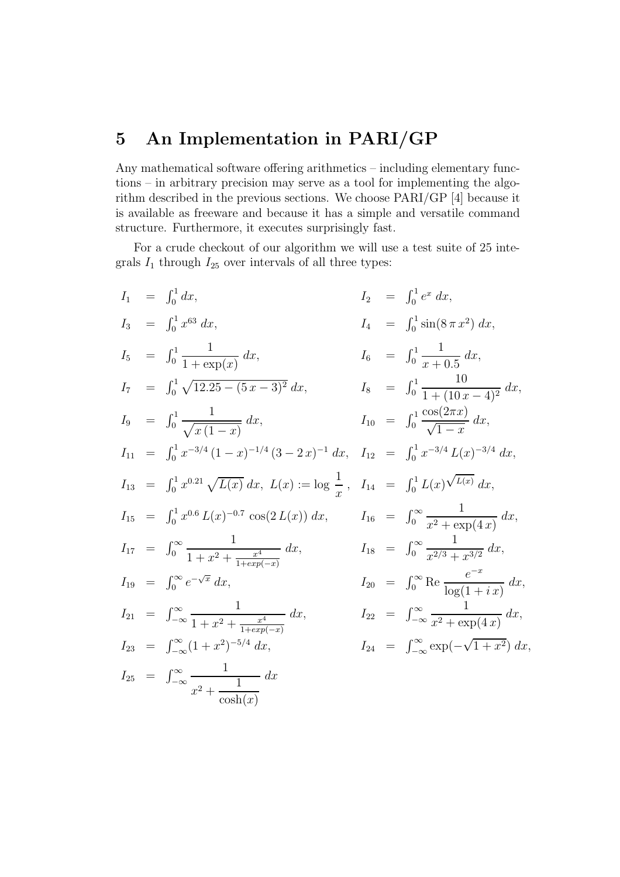## 5 An Implementation in PARI/GP

Any mathematical software offering arithmetics – including elementary functions – in arbitrary precision may serve as a tool for implementing the algorithm described in the previous sections. We choose PARI/GP [4] because it is available as freeware and because it has a simple and versatile command structure. Furthermore, it executes surprisingly fast.

For a crude checkout of our algorithm we will use a test suite of 25 integrals  $I_1$  through  $I_{25}$  over intervals of all three types:

$$
I_1 = \int_0^1 dx, \qquad I_2 = \int_0^1 e^x dx,
$$
  
\n
$$
I_3 = \int_0^1 x^{63} dx, \qquad I_4 = \int_0^1 \sin(8\pi x^2) dx,
$$
  
\n
$$
I_5 = \int_0^1 \frac{1}{1 + \exp(x)} dx, \qquad I_6 = \int_0^1 \frac{1}{x + 0.5} dx,
$$
  
\n
$$
I_7 = \int_0^1 \sqrt{12.25 - (5x - 3)^2} dx, \qquad I_8 = \int_0^1 \frac{1}{1 + (10x - 4)^2} dx,
$$
  
\n
$$
I_9 = \int_0^1 \frac{1}{\sqrt{x(1 - x)}} dx, \qquad I_{10} = \int_0^1 \frac{\cos(2\pi x)}{\sqrt{1 - x}} dx,
$$
  
\n
$$
I_{11} = \int_0^1 x^{-3/4} (1 - x)^{-1/4} (3 - 2x)^{-1} dx, \qquad I_{12} = \int_0^1 x^{-3/4} L(x)^{-3/4} dx,
$$
  
\n
$$
I_{13} = \int_0^1 x^{0.21} \sqrt{L(x)} dx, \qquad L(x) := \log \frac{1}{x}, \qquad I_{14} = \int_0^1 L(x) \sqrt{L(x)} dx,
$$
  
\n
$$
I_{15} = \int_0^1 x^{0.6} L(x)^{-0.7} \cos(2L(x)) dx, \qquad I_{16} = \int_0^\infty \frac{1}{x^2 + \exp(4x)} dx,
$$
  
\n
$$
I_{17} = \int_0^\infty \frac{1}{1 + x^2 + \frac{x^4}{1 + \exp(-x)}} dx, \qquad I_{18} = \int_0^\infty \frac{1}{x^{2/3} + x^{3/2}} dx,
$$
  
\n
$$
I_{19} = \int_0^\infty e^{-\sqrt{x}} dx, \qquad I_{20} = \int_0^\infty \text{Re} \frac{e^{-x}}{\log(1 + ix)} dx,
$$
  
\n
$$
I_{21} = \int_{-\infty}^\infty \frac{1}{1 + x^2 + \frac{x^4}{1 + \exp(-x)}} dx, \qquad I_{22} = \int_{-\infty}^\infty \frac{1
$$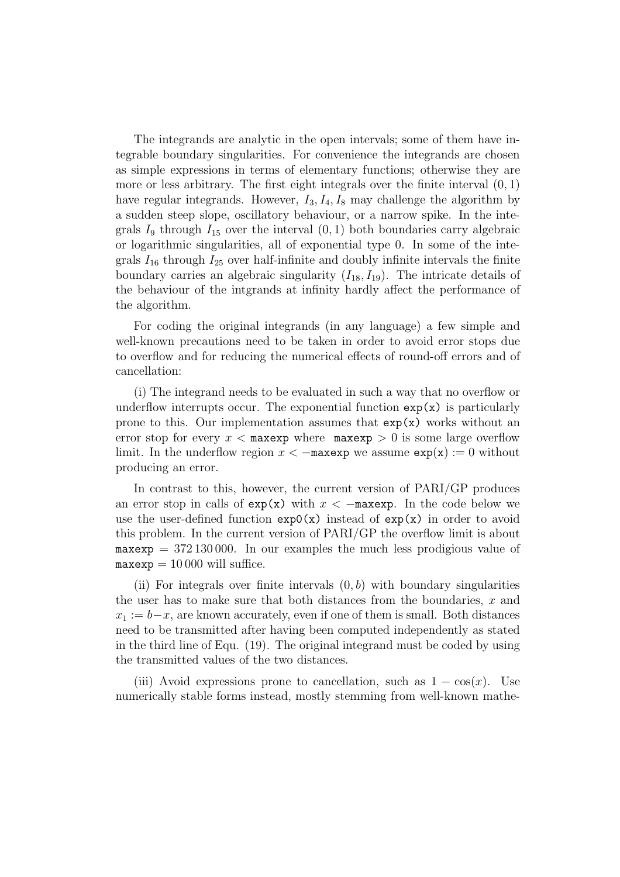The integrands are analytic in the open intervals; some of them have integrable boundary singularities. For convenience the integrands are chosen as simple expressions in terms of elementary functions; otherwise they are more or less arbitrary. The first eight integrals over the finite interval  $(0, 1)$ have regular integrands. However,  $I_3$ ,  $I_4$ ,  $I_8$  may challenge the algorithm by a sudden steep slope, oscillatory behaviour, or a narrow spike. In the integrals  $I_9$  through  $I_{15}$  over the interval  $(0, 1)$  both boundaries carry algebraic or logarithmic singularities, all of exponential type 0. In some of the integrals  $I_{16}$  through  $I_{25}$  over half-infinite and doubly infinite intervals the finite boundary carries an algebraic singularity  $(I_{18}, I_{19})$ . The intricate details of the behaviour of the intgrands at infinity hardly affect the performance of the algorithm.

For coding the original integrands (in any language) a few simple and well-known precautions need to be taken in order to avoid error stops due to overflow and for reducing the numerical effects of round-off errors and of cancellation:

(i) The integrand needs to be evaluated in such a way that no overflow or underflow interrupts occur. The exponential function  $exp(x)$  is particularly prone to this. Our implementation assumes that  $\exp(x)$  works without an error stop for every  $x <$  maxexp where maxexp  $> 0$  is some large overflow limit. In the underflow region  $x < -$ maxexp we assume  $exp(x) := 0$  without producing an error.

In contrast to this, however, the current version of PARI/GP produces an error stop in calls of  $exp(x)$  with  $x < -$ maxexp. In the code below we use the user-defined function  $exp(x)$  instead of  $exp(x)$  in order to avoid this problem. In the current version of PARI/GP the overflow limit is about  $maxexp = 372130000$ . In our examples the much less prodigious value of  $maxexp = 10000$  will suffice.

(ii) For integrals over finite intervals  $(0, b)$  with boundary singularities the user has to make sure that both distances from the boundaries,  $x$  and  $x_1 := b-x$ , are known accurately, even if one of them is small. Both distances need to be transmitted after having been computed independently as stated in the third line of Equ. (19). The original integrand must be coded by using the transmitted values of the two distances.

(iii) Avoid expressions prone to cancellation, such as  $1 - \cos(x)$ . Use numerically stable forms instead, mostly stemming from well-known mathe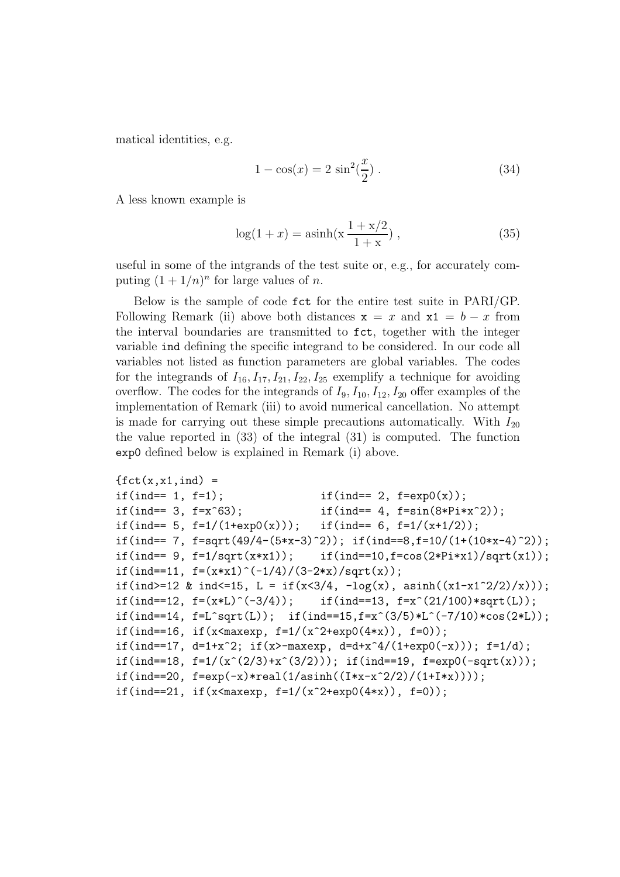matical identities, e.g.

$$
1 - \cos(x) = 2\sin^2(\frac{x}{2}).
$$
\n(34)

A less known example is

$$
\log(1+x) = \operatorname{asinh}\left(x\frac{1+x/2}{1+x}\right),\tag{35}
$$

useful in some of the intgrands of the test suite or, e.g., for accurately computing  $(1 + 1/n)^n$  for large values of *n*.

Below is the sample of code fct for the entire test suite in PARI/GP. Following Remark (ii) above both distances  $x = x$  and  $x1 = b - x$  from the interval boundaries are transmitted to fct, together with the integer variable ind defining the specific integrand to be considered. In our code all variables not listed as function parameters are global variables. The codes for the integrands of  $I_{16}$ ,  $I_{17}$ ,  $I_{21}$ ,  $I_{22}$ ,  $I_{25}$  exemplify a technique for avoiding overflow. The codes for the integrands of  $I_9$ ,  $I_{10}$ ,  $I_{12}$ ,  $I_{20}$  offer examples of the implementation of Remark (iii) to avoid numerical cancellation. No attempt is made for carrying out these simple precautions automatically. With  $I_{20}$ the value reported in (33) of the integral (31) is computed. The function exp0 defined below is explained in Remark (i) above.

```
\{ \text{fct}(x, x1, \text{ind}) =if(ind== 1, f=1); if(int == 2, f=exp0(x));if(ind== 3, f=x^63); if(ind== 4, f=sin(8*Pi*x^2));
if(ind== 5, f=1/(1+exp(0(x))); if(ind== 6, f=1/(x+1/2));
if(ind== 7, f=sqrt(49/4-(5*x-3)^2)); if(ind==8,f=10/(1+(10*x-4)^2));
if(int == 9, f=1/sqrt(x*x1)); if(int == 10, f=cos(2*Pi*x1)/sqrt(x1));if(ind==11, f=(x*x1)^{-(-1/4)/(3-2*x)/sqrt(x)};
if(ind>=12 & ind<=15, L = if(x<3/4, -log(x), asinh((x1-x1^2/2)/x)));
if(ind==12, f=(x*L)^{-}(-3/4)); if(ind==13, f=x^{(21/100)*sqrt(L)};
if(ind==14, f=L^sqrt(L)); if(ind==15,f=x^(3/5)*L^(-7/10)*cos(2*L));
if(ind==16, if(x<maxexp, f=1/(x^2+exp0(4*x)), f=0));
if(ind==17, d=1+x^2; if(x>-maxexp, d=d+x^4/(1+exp0(-x))); f=1/d);
if(ind==18, f=1/(x^(2/3)+x^(3/2))); if(ind==19, f=exp0(-sqrt(x)));
if(ind==20, f=exp(-x)*real(1/asinh((I*x-x^2/2)/(1+I*x)));
if(ind==21, if(x<maxexp, f=1/(x^2+exp0(4*x)), f=0));
```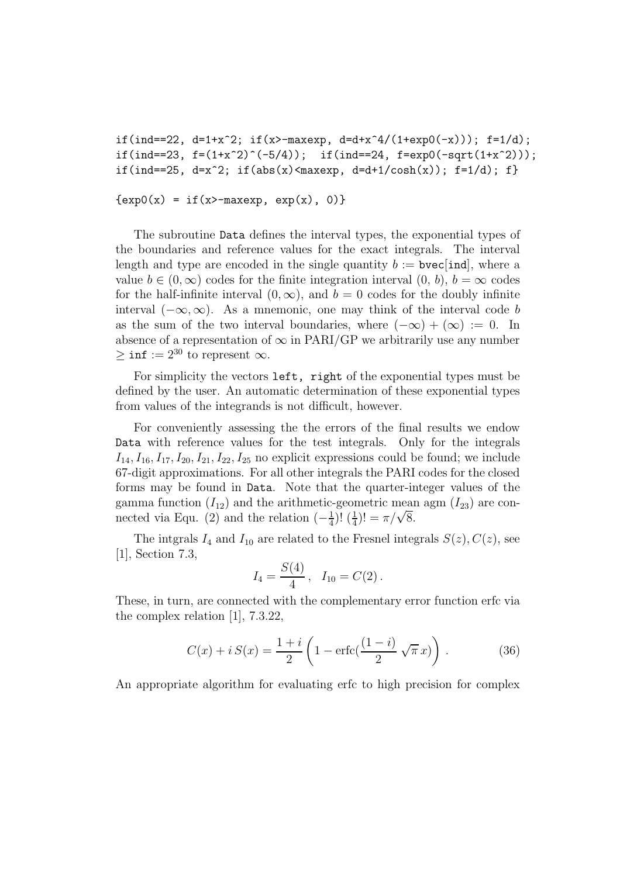```
if(ind==22, d=1+x^2; if(x>-maxexp, d=d+x^4/(1+exp0(-x))); f=1/d);
if(ind==23, f=(1+x^2)^(-5/4)); if(ind==24, f=exp0(-sqrt(1+x^2)));
if(ind==25, d=x^2; if(abs(x)<maxexp, d=d+1/cosh(x)); f=1/d); f}
```
 $\{ \exp(0(x) = if(x)-maxexp, exp(x), 0) \}$ 

The subroutine Data defines the interval types, the exponential types of the boundaries and reference values for the exact integrals. The interval length and type are encoded in the single quantity  $b := \text{bvec}$  [ind], where a value  $b \in (0, \infty)$  codes for the finite integration interval  $(0, b)$ ,  $b = \infty$  codes for the half-infinite interval  $(0, \infty)$ , and  $b = 0$  codes for the doubly infinite interval  $(-\infty, \infty)$ . As a mnemonic, one may think of the interval code b as the sum of the two interval boundaries, where  $(-\infty) + (\infty) := 0$ . In absence of a representation of  $\infty$  in PARI/GP we arbitrarily use any number  $\geq \inf := 2^{30}$  to represent  $\infty$ .

For simplicity the vectors left, right of the exponential types must be defined by the user. An automatic determination of these exponential types from values of the integrands is not difficult, however.

For conveniently assessing the the errors of the final results we endow Data with reference values for the test integrals. Only for the integrals  $I_{14}$ ,  $I_{16}$ ,  $I_{17}$ ,  $I_{20}$ ,  $I_{21}$ ,  $I_{22}$ ,  $I_{25}$  no explicit expressions could be found; we include 67-digit approximations. For all other integrals the PARI codes for the closed forms may be found in Data. Note that the quarter-integer values of the gamma function  $(I_{12})$  and the arithmetic-geometric mean agm  $(I_{23})$  are connected via Equ. (2) and the relation  $\left(-\frac{1}{4}\right)$  $\frac{1}{4}$ )!  $\left(\frac{1}{4}\right)$  $(\frac{1}{4})! = \pi/\sqrt{8}.$ 

The integrals  $I_4$  and  $I_{10}$  are related to the Fresnel integrals  $S(z)$ ,  $C(z)$ , see [1], Section 7.3,

$$
I_4 = \frac{S(4)}{4}, \quad I_{10} = C(2).
$$

These, in turn, are connected with the complementary error function erfc via the complex relation [1], 7.3.22,

$$
C(x) + i S(x) = \frac{1+i}{2} \left( 1 - \text{erfc}\left(\frac{(1-i)}{2}\sqrt{\pi} x\right) \right).
$$
 (36)

An appropriate algorithm for evaluating erfc to high precision for complex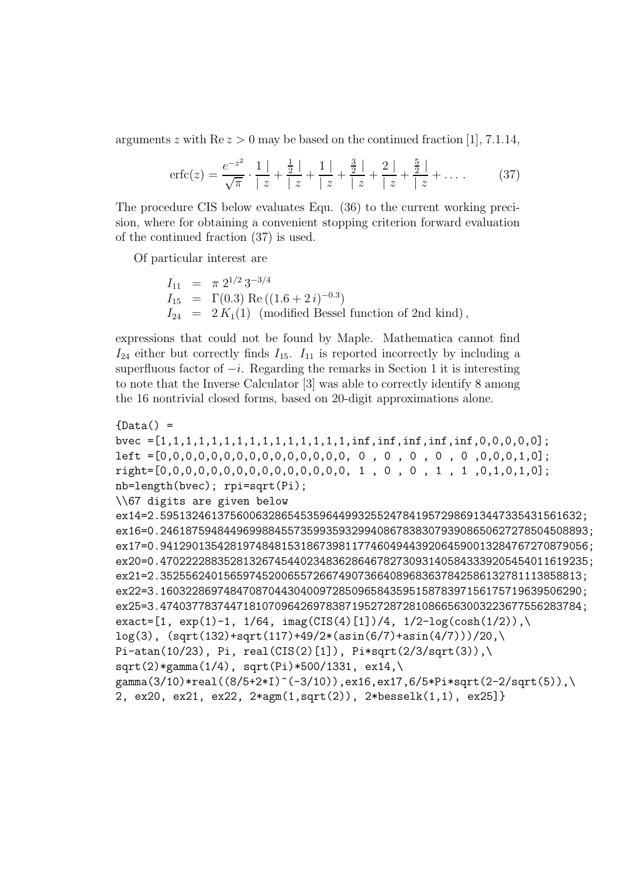arguments z with  $\text{Re } z > 0$  may be based on the continued fraction [1], 7.1.14,

$$
\text{erfc}(z) = \frac{e^{-z^2}}{\sqrt{\pi}} \cdot \frac{1}{|z|} + \frac{\frac{1}{2}}{|z|} + \frac{1}{|z|} + \frac{\frac{3}{2}}{|z|} + \frac{2}{|z|} + \frac{\frac{5}{2}}{|z|} + \dots \tag{37}
$$

The procedure CIS below evaluates Equ. (36) to the current working precision, where for obtaining a convenient stopping criterion forward evaluation of the continued fraction (37) is used.

Of particular interest are

 $I_{11} = \pi 2^{1/2} 3^{-3/4}$  $I_{15} = \Gamma(0.3) \text{ Re } ((1.6 + 2 i)^{-0.3})$  $I_{24}$  =  $2 K_1(1)$  (modified Bessel function of 2nd kind),

expressions that could not be found by Maple. Mathematica cannot find  $I_{24}$  either but correctly finds  $I_{15}$ .  $I_{11}$  is reported incorrectly by including a superfluous factor of  $-i$ . Regarding the remarks in Section 1 it is interesting to note that the Inverse Calculator [3] was able to correctly identify 8 among the 16 nontrivial closed forms, based on 20-digit approximations alone.

```
{Data() =bvec =[1,1,1,1,1,1,1,1,1,1,1,1,1,1,1,1,inf,inf,inf,inf,inf,0,0,0,0,0];
left =[0,0,0,0,0,0,0,0,0,0,0,0,0,0,0, 0 , 0 , 0 , 0 , 0 ,0,0,0,1,0];
right=[0,0,0,0,0,0,0,0,0,0,0,0,0,0,0, 1 , 0 , 0 , 1 , 1 ,0,1,0,1,0];
nb=length(bvec); rpi=sqrt(Pi);
\\67 digits are given below
ex14=2.595132461375600632865453596449932552478419572986913447335431561632;
ex16=0.2461875948449699884557359935932994086783830793908650627278504508893;
ex17=0.9412901354281974848153186739811774604944392064590013284767270879056;
ex20=0.4702222883528132674544023483628646782730931405843339205454011619235;
ex21=2.352556240156597452006557266749073664089683637842586132781113858813;
ex22=3.160322869748470870443040097285096584359515878397156175719639506290;
ex25=3.474037783744718107096426978387195272872810866563003223677556283784;
\text{exact}=[1, \text{exp}(1)-1, 1/64, \text{imag}(CIS(4)[1])/4, 1/2-log(cosh(1/2))),\ranglelog(3), (sqrt(132)+sqrt(117)+49/2*(asin(6/7)+asin(4/7)))/20,\lambda)Pi-atan(10/23), Pi, real(CIS(2)[1]), Pi*sqrt(2/3/sqrt(3)),\
sqrt(2) * gamma(1/4), sqrt(Pi) * 500/1331, ex14,
gamma(3/10)*real((8/5+2*I)^(-3/10)),ex16,ex17,6/5*Pi*sqrt(2-2/sqrt(5)),\
2, ex20, ex21, ex22, 2*agm(1,sqrt(2)), 2*besselk(1,1), ex25]}
```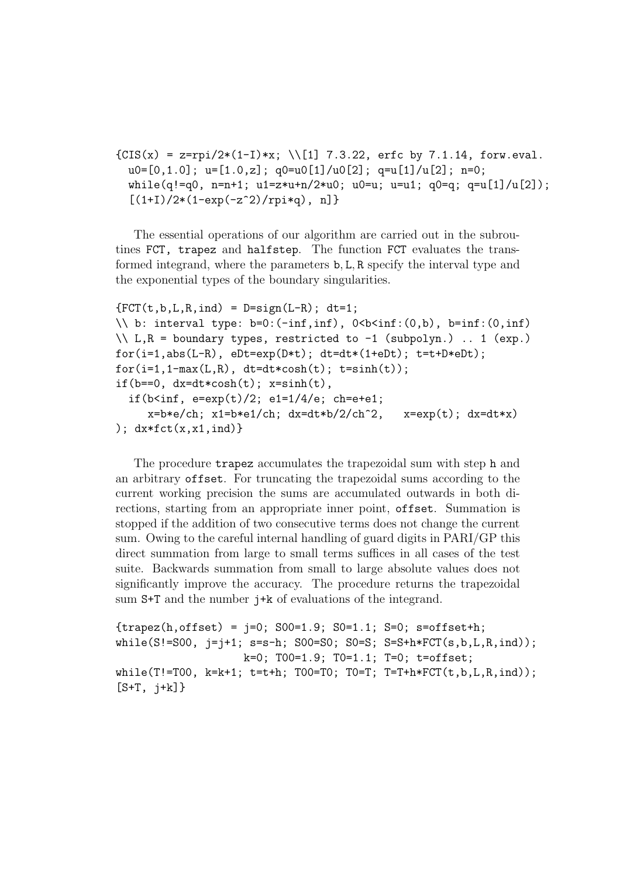```
{CIS(x) = z=rpi/2*(1-I)*x; \ \ }[1] 7.3.22, \text{erfc by } 7.1.14, \text{ forw.eval}.u0=[0,1.0]; u=[1.0, z]; q0=u0[1]/u0[2]; q=u[1]/u[2]; n=0;
 while(q!=q0, n=n+1; u1=z*u+n/2*u0; u0=u; u=u1; q0=q; q=u[1]/u[2]);
  [(1+I)/2*(1-exp(-z^2)/rpi*q), n]
```
The essential operations of our algorithm are carried out in the subroutines FCT, trapez and halfstep. The function FCT evaluates the transformed integrand, where the parameters b, L, R specify the interval type and the exponential types of the boundary singularities.

```
{FCT(t,b,L,R,ind) = D=sign(L-R); dt=1;}\setminus b: interval type: b=0:(-inf,inf), 0<br/>b<inf:(0,b), b=inf:(0,inf)
\setminus\setminus L, R = boundary types, restricted to -1 (subpolyn.) .. 1 (exp.)
for(i=1,abs(L-R), eDt=exp(D*t)); dt=dt*(1+eDt); t=t+D*eDt);for(i=1,1-max(L,R), dt=dt*cosh(t); t=sinh(t));if(b==0, dx=dt*cosh(t); x=sinh(t),
  if(b<inf, e=exp(t)/2; e1=1/4/e; ch=e+e1;
     x=b*e/ch; x1=b*e1/ch; dx=dt*b/2/ch^2, x=exp(t); dx=dt*x)); dx * fct(x, x1, ind)
```
The procedure trapez accumulates the trapezoidal sum with step h and an arbitrary offset. For truncating the trapezoidal sums according to the current working precision the sums are accumulated outwards in both directions, starting from an appropriate inner point, offset. Summation is stopped if the addition of two consecutive terms does not change the current sum. Owing to the careful internal handling of guard digits in PARI/GP this direct summation from large to small terms suffices in all cases of the test suite. Backwards summation from small to large absolute values does not significantly improve the accuracy. The procedure returns the trapezoidal sum S+T and the number j+k of evaluations of the integrand.

```
\{ \text{trapez}(h, \text{offset}) = i=0; \ S00=1.9; \ S0=1.1; \ S=0; \ s=offset+h;while(S!=SO0, j=j+1; s=s-h; SO0=S0; SO=S; S=S+h*FCT(s,b,L,R,ind));k=0; T00=1.9; T0=1.1; T=0; t=offset;
while(T!=T00, k=k+1; t=t+h; T00=T0; T0=T; T=T+h*FCT(t,b,L,R,ind));[S+T, j+k]
```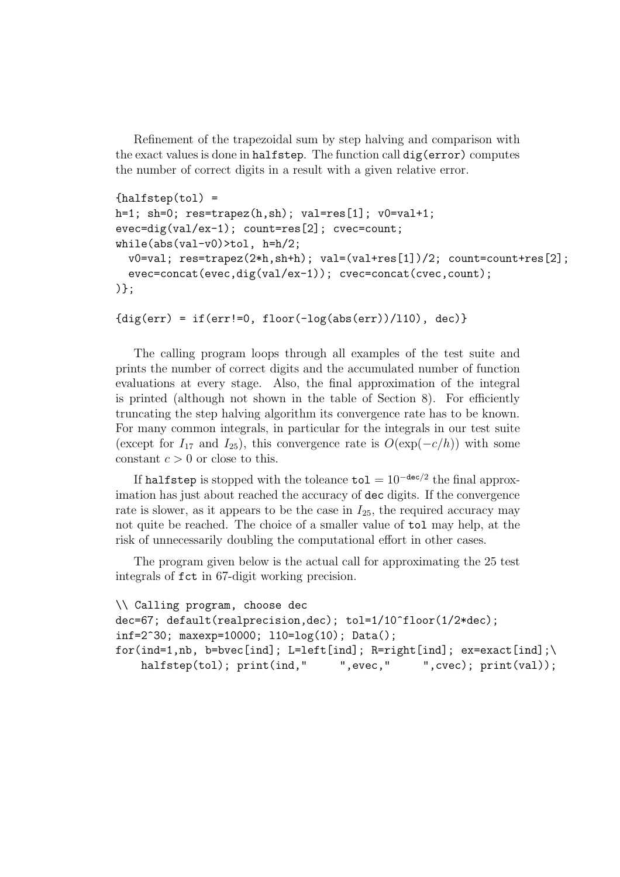Refinement of the trapezoidal sum by step halving and comparison with the exact values is done in halfstep. The function call dig(error) computes the number of correct digits in a result with a given relative error.

```
{halfstep(tol)} =h=1; sh=0; res=trapez(h,sh); val=res[1]; v0=val+1;
evec=dig(val/ex-1); count=res[2]; cvec=count;
while(abs(val-v0)>tol, h=h/2;
 v0=val; res=trapez(2*h,sh+h); val=(val+res[1])/2; count=count+res[2];
  evec=concat(evec,dig(val/ex-1)); cvec=concat(cvec,count);
)};
```

```
{dig(err) = if(err != 0, floor(-log(abs(err))/110), dec)}
```
The calling program loops through all examples of the test suite and prints the number of correct digits and the accumulated number of function evaluations at every stage. Also, the final approximation of the integral is printed (although not shown in the table of Section 8). For efficiently truncating the step halving algorithm its convergence rate has to be known. For many common integrals, in particular for the integrals in our test suite (except for  $I_{17}$  and  $I_{25}$ ), this convergence rate is  $O(\exp(-c/h))$  with some constant  $c > 0$  or close to this.

If halfstep is stopped with the toleance  $\texttt{tol} = 10^{-\texttt{dec}/2}$  the final approximation has just about reached the accuracy of dec digits. If the convergence rate is slower, as it appears to be the case in  $I_{25}$ , the required accuracy may not quite be reached. The choice of a smaller value of tol may help, at the risk of unnecessarily doubling the computational effort in other cases.

The program given below is the actual call for approximating the 25 test integrals of fct in 67-digit working precision.

```
\\ Calling program, choose dec
dec=67; default(realprecision,dec); tol=1/10^floor(1/2*dec);
inf=2^30; maxexp=10000; l10=log(10); Data();
for(ind=1,nb, b=bvec[ind]; L=left[ind]; R=right[ind]; ex=exact[ind];\
   halfstep(tol); print(ind," ",evec," ",cvec); print(val));
```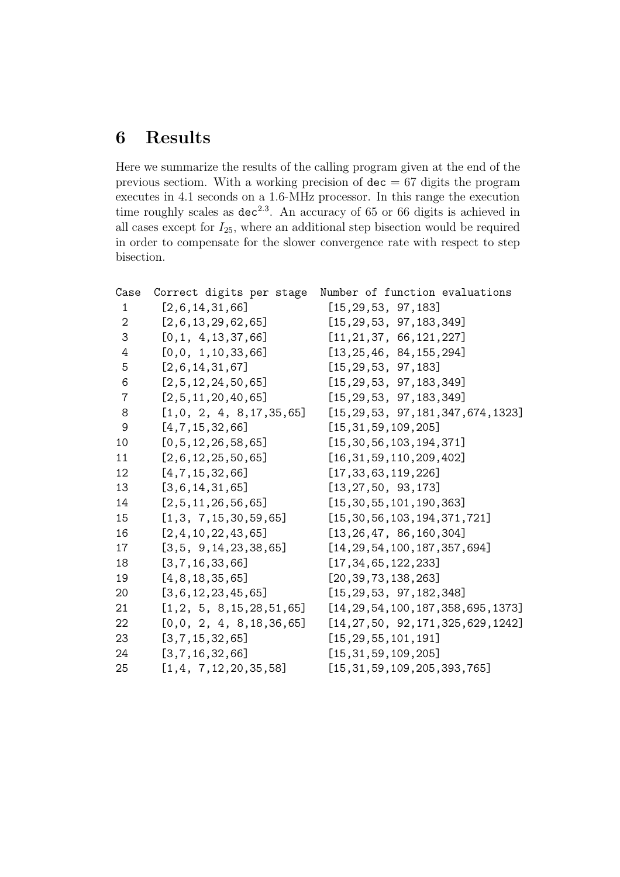# Results

Here we summarize the results of the calling program given at the end of the previous sectiom. With a working precision of  $\text{dec} = 67$  digits the program executes in 4.1 seconds on a 1.6-MHz processor. In this range the execution time roughly scales as  $dec^{2.3}$ . An accuracy of 65 or 66 digits is achieved in all cases except for  $I_{25}$ , where an additional step bisection would be required in order to compensate for the slower convergence rate with respect to step bisection.

|                             | Number of function evaluations           |
|-----------------------------|------------------------------------------|
| [2, 6, 14, 31, 66]          | [15, 29, 53, 97, 183]                    |
| [2,6,13,29,62,65]           | [15, 29, 53, 97, 183, 349]               |
| [0,1, 4, 13, 37, 66]        | [11, 21, 37, 66, 121, 227]               |
| [0,0, 1, 10, 33, 66]        | [13, 25, 46, 84, 155, 294]               |
| [2,6,14,31,67]              | [15, 29, 53, 97, 183]                    |
| [2,5,12,24,50,65]           | [15, 29, 53, 97, 183, 349]               |
| [2,5,11,20,40,65]           | [15, 29, 53, 97, 183, 349]               |
| [1,0, 2, 4, 8, 17, 35, 65]  | [15, 29, 53, 97, 181, 347, 674, 1323]    |
| [4,7,15,32,66]              | [15, 31, 59, 109, 205]                   |
| [0, 5, 12, 26, 58, 65]      | [15, 30, 56, 103, 194, 371]              |
| [2,6,12,25,50,65]           | [16, 31, 59, 110, 209, 402]              |
| [4,7,15,32,66]              | [17, 33, 63, 119, 226]                   |
| [3, 6, 14, 31, 65]          | [13, 27, 50, 93, 173]                    |
| [2,5,11,26,56,65]           | [15, 30, 55, 101, 190, 363]              |
| [1,3, 7,15,30,59,65]        | [15, 30, 56, 103, 194, 371, 721]         |
| [2, 4, 10, 22, 43, 65]      | [13, 26, 47, 86, 160, 304]               |
| [3,5, 9, 14, 23, 38, 65]    | [14, 29, 54, 100, 187, 357, 694]         |
| [3,7,16,33,66]              | [17, 34, 65, 122, 233]                   |
| [4, 8, 18, 35, 65]          | [20, 39, 73, 138, 263]                   |
| [3,6,12,23,45,65]           | [15, 29, 53, 97, 182, 348]               |
| [1,2, 5, 8, 15, 28, 51, 65] | $[14, 29, 54, 100, 187, 358, 695, 1373]$ |
| [0,0, 2, 4, 8, 18, 36, 65]  | [14, 27, 50, 92, 171, 325, 629, 1242]    |
| [3,7,15,32,65]              | [15, 29, 55, 101, 191]                   |
| [3,7,16,32,66]              | [15, 31, 59, 109, 205]                   |
| [1,4, 7,12,20,35,58]        | [15, 31, 59, 109, 205, 393, 765]         |
|                             | Correct digits per stage                 |